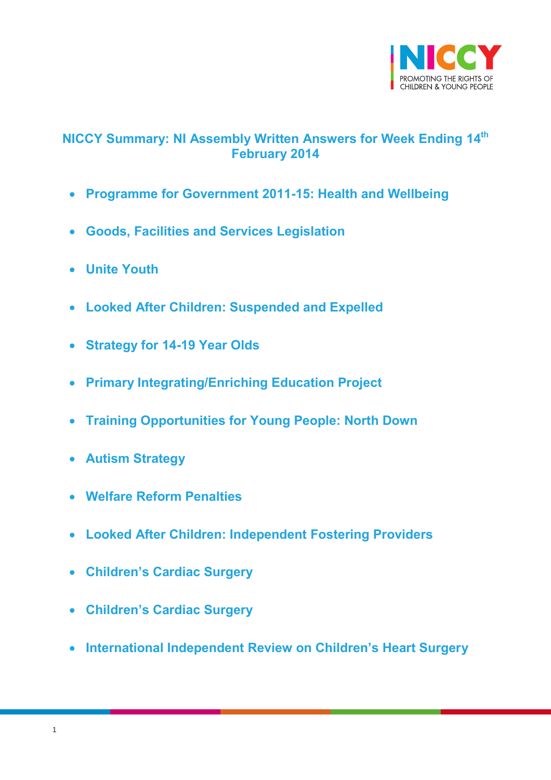

# <span id="page-0-0"></span>**NICCY Summary: NI Assembly Written Answers for Week Ending 14th February 2014**

- **[Programme for Government 2011-15: Health and Wellbeing](#page-2-0)**
- **[Goods, Facilities and Services Legislation](#page-3-0)**
- **[Unite Youth](#page-4-0)**
- **[Looked After Children: Suspended and Expelled](#page-4-1)**
- **[Strategy for 14-19 Year Olds](#page-5-0)**
- **[Primary Integrating/Enriching Education Project](#page-5-1)**
- **[Training Opportunities for Young People: North Down](#page-6-0)**
- **[Autism Strategy](#page-7-0)**
- **[Welfare Reform Penalties](#page-8-0)**
- **[Looked After Children: Independent Fostering Providers](#page-9-0)**
- **[Children's Cardiac Surgery](#page-9-1)**
- **[Children's Cardiac Surgery](#page-10-0)**
- **[International Independent Review on Children's Heart Surger](#page-10-1)y**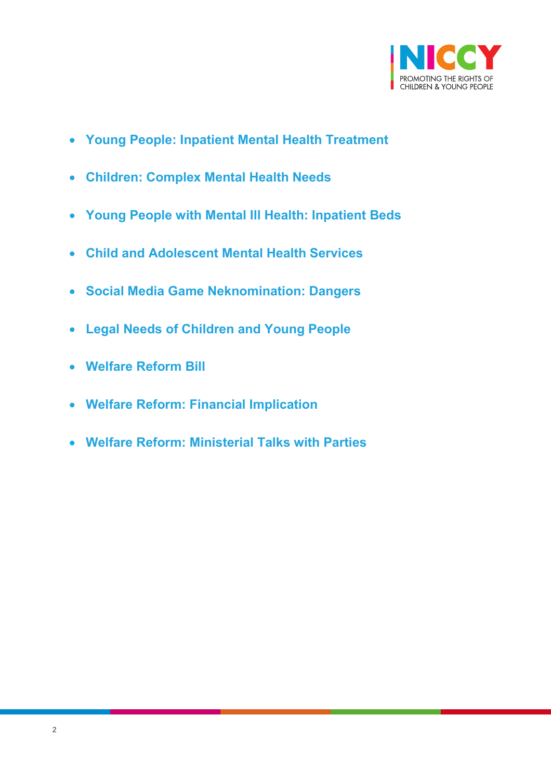

- **[Young People: Inpatient Mental Health Treatment](#page-11-0)**
- **[Children: Complex Mental Health Needs](#page-12-0)**
- **[Young People with Mental Ill Health: Inpatient Beds](#page-12-1)**
- **[Child and Adolescent Mental Health Services](#page-13-0)**
- **[Social Media Game Neknomination: Dangers](#page-13-1)**
- **[Legal Needs of Children and Young People](#page-14-0)**
- **[Welfare Reform Bill](#page-15-0)**
- **[Welfare Reform: Financial Implication](#page-15-1)**
- **[Welfare Reform: Ministerial Talks with Parties](#page-16-0)**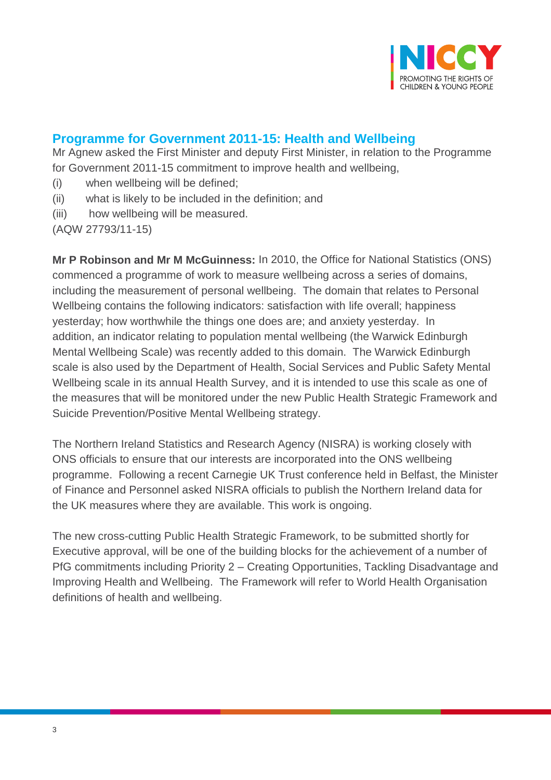

## <span id="page-2-0"></span>**Programme for Government 2011-15: Health and Wellbeing**

Mr Agnew asked the First Minister and deputy First Minister, in relation to the Programme for Government 2011-15 commitment to improve health and wellbeing,

- (i) when wellbeing will be defined;
- (ii) what is likely to be included in the definition; and
- (iii) how wellbeing will be measured.

(AQW 27793/11-15)

**Mr P Robinson and Mr M McGuinness:** In 2010, the Office for National Statistics (ONS) commenced a programme of work to measure wellbeing across a series of domains, including the measurement of personal wellbeing. The domain that relates to Personal Wellbeing contains the following indicators: satisfaction with life overall; happiness yesterday; how worthwhile the things one does are; and anxiety yesterday. In addition, an indicator relating to population mental wellbeing (the Warwick Edinburgh Mental Wellbeing Scale) was recently added to this domain. The Warwick Edinburgh scale is also used by the Department of Health, Social Services and Public Safety Mental Wellbeing scale in its annual Health Survey, and it is intended to use this scale as one of the measures that will be monitored under the new Public Health Strategic Framework and Suicide Prevention/Positive Mental Wellbeing strategy.

The Northern Ireland Statistics and Research Agency (NISRA) is working closely with ONS officials to ensure that our interests are incorporated into the ONS wellbeing programme. Following a recent Carnegie UK Trust conference held in Belfast, the Minister of Finance and Personnel asked NISRA officials to publish the Northern Ireland data for the UK measures where they are available. This work is ongoing.

The new cross-cutting Public Health Strategic Framework, to be submitted shortly for Executive approval, will be one of the building blocks for the achievement of a number of PfG commitments including Priority 2 – Creating Opportunities, Tackling Disadvantage and Improving Health and Wellbeing. The Framework will refer to World Health Organisation definitions of health and wellbeing.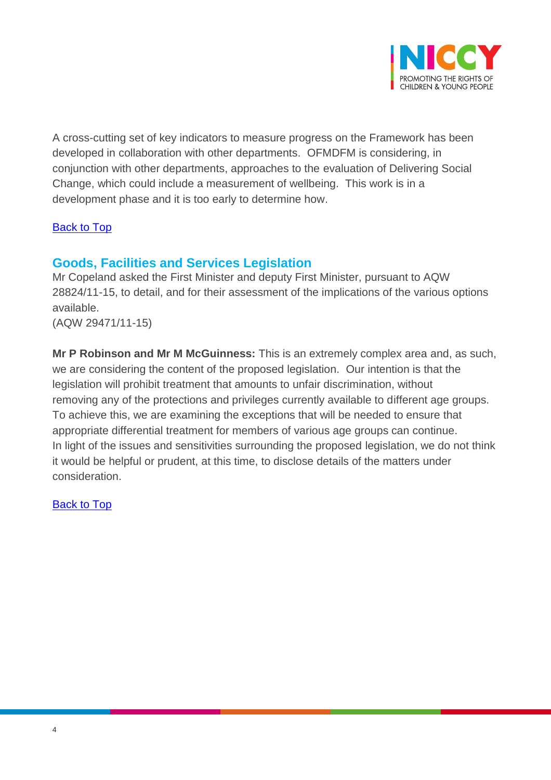

A cross-cutting set of key indicators to measure progress on the Framework has been developed in collaboration with other departments. OFMDFM is considering, in conjunction with other departments, approaches to the evaluation of Delivering Social Change, which could include a measurement of wellbeing. This work is in a development phase and it is too early to determine how.

#### [Back to Top](#page-0-0)

### <span id="page-3-0"></span>**Goods, Facilities and Services Legislation**

Mr Copeland asked the First Minister and deputy First Minister, pursuant to AQW 28824/11-15, to detail, and for their assessment of the implications of the various options available.

(AQW 29471/11-15)

**Mr P Robinson and Mr M McGuinness:** This is an extremely complex area and, as such, we are considering the content of the proposed legislation. Our intention is that the legislation will prohibit treatment that amounts to unfair discrimination, without removing any of the protections and privileges currently available to different age groups. To achieve this, we are examining the exceptions that will be needed to ensure that appropriate differential treatment for members of various age groups can continue. In light of the issues and sensitivities surrounding the proposed legislation, we do not think it would be helpful or prudent, at this time, to disclose details of the matters under consideration.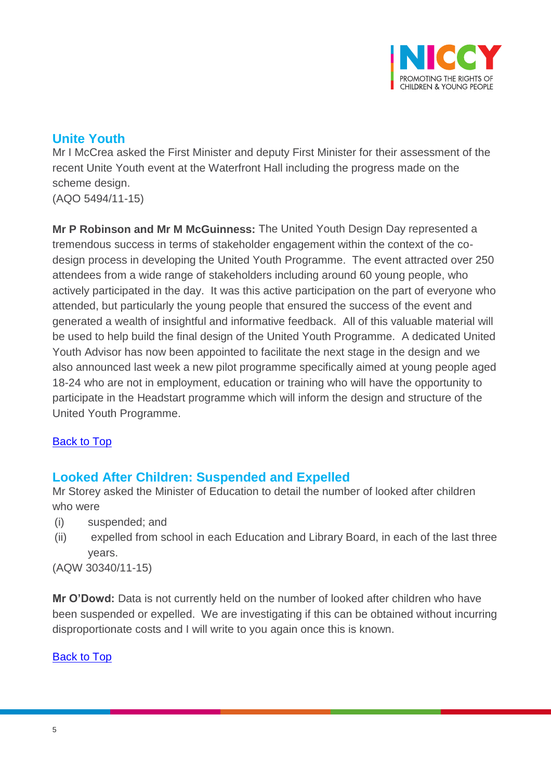

# <span id="page-4-0"></span>**Unite Youth**

Mr I McCrea asked the First Minister and deputy First Minister for their assessment of the recent Unite Youth event at the Waterfront Hall including the progress made on the scheme design. (AQO 5494/11-15)

**Mr P Robinson and Mr M McGuinness:** The United Youth Design Day represented a tremendous success in terms of stakeholder engagement within the context of the codesign process in developing the United Youth Programme. The event attracted over 250 attendees from a wide range of stakeholders including around 60 young people, who actively participated in the day. It was this active participation on the part of everyone who attended, but particularly the young people that ensured the success of the event and generated a wealth of insightful and informative feedback. All of this valuable material will be used to help build the final design of the United Youth Programme. A dedicated United Youth Advisor has now been appointed to facilitate the next stage in the design and we also announced last week a new pilot programme specifically aimed at young people aged 18-24 who are not in employment, education or training who will have the opportunity to participate in the Headstart programme which will inform the design and structure of the United Youth Programme.

### [Back to Top](#page-0-0)

## <span id="page-4-1"></span>**Looked After Children: Suspended and Expelled**

Mr Storey asked the Minister of Education to detail the number of looked after children who were

- (i) suspended; and
- (ii) expelled from school in each Education and Library Board, in each of the last three years.

(AQW 30340/11-15)

**Mr O'Dowd:** Data is not currently held on the number of looked after children who have been suspended or expelled. We are investigating if this can be obtained without incurring disproportionate costs and I will write to you again once this is known.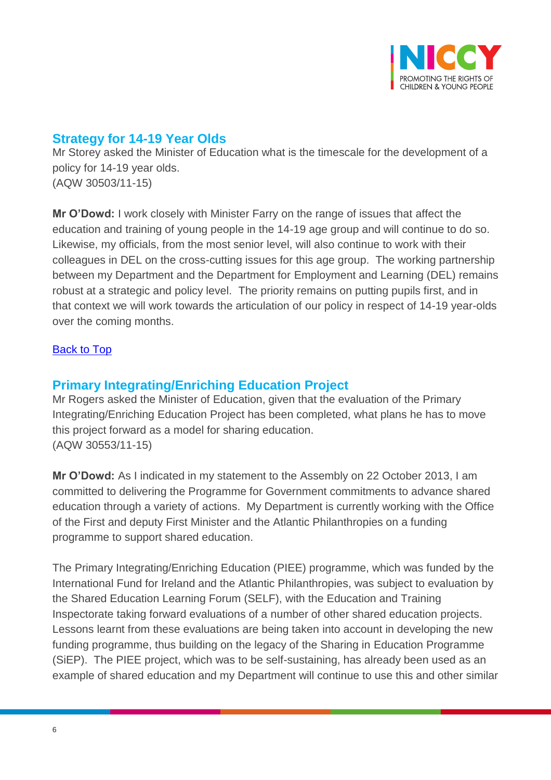

## <span id="page-5-0"></span>**Strategy for 14-19 Year Olds**

Mr Storey asked the Minister of Education what is the timescale for the development of a policy for 14-19 year olds. (AQW 30503/11-15)

**Mr O'Dowd:** I work closely with Minister Farry on the range of issues that affect the education and training of young people in the 14-19 age group and will continue to do so. Likewise, my officials, from the most senior level, will also continue to work with their colleagues in DEL on the cross-cutting issues for this age group. The working partnership between my Department and the Department for Employment and Learning (DEL) remains robust at a strategic and policy level. The priority remains on putting pupils first, and in that context we will work towards the articulation of our policy in respect of 14-19 year-olds over the coming months.

#### [Back to Top](#page-0-0)

## <span id="page-5-1"></span>**Primary Integrating/Enriching Education Project**

Mr Rogers asked the Minister of Education, given that the evaluation of the Primary Integrating/Enriching Education Project has been completed, what plans he has to move this project forward as a model for sharing education. (AQW 30553/11-15)

**Mr O'Dowd:** As I indicated in my statement to the Assembly on 22 October 2013, I am committed to delivering the Programme for Government commitments to advance shared education through a variety of actions. My Department is currently working with the Office of the First and deputy First Minister and the Atlantic Philanthropies on a funding programme to support shared education.

The Primary Integrating/Enriching Education (PIEE) programme, which was funded by the International Fund for Ireland and the Atlantic Philanthropies, was subject to evaluation by the Shared Education Learning Forum (SELF), with the Education and Training Inspectorate taking forward evaluations of a number of other shared education projects. Lessons learnt from these evaluations are being taken into account in developing the new funding programme, thus building on the legacy of the Sharing in Education Programme (SiEP). The PIEE project, which was to be self-sustaining, has already been used as an example of shared education and my Department will continue to use this and other similar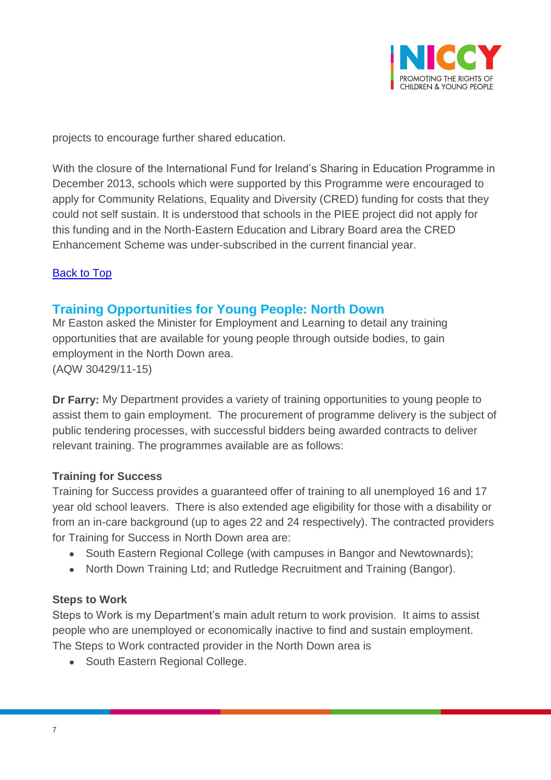

projects to encourage further shared education.

With the closure of the International Fund for Ireland's Sharing in Education Programme in December 2013, schools which were supported by this Programme were encouraged to apply for Community Relations, Equality and Diversity (CRED) funding for costs that they could not self sustain. It is understood that schools in the PIEE project did not apply for this funding and in the North-Eastern Education and Library Board area the CRED Enhancement Scheme was under-subscribed in the current financial year.

#### [Back to Top](#page-0-0)

### <span id="page-6-0"></span>**Training Opportunities for Young People: North Down**

Mr Easton asked the Minister for Employment and Learning to detail any training opportunities that are available for young people through outside bodies, to gain employment in the North Down area. (AQW 30429/11-15)

**Dr Farry:** My Department provides a variety of training opportunities to young people to assist them to gain employment. The procurement of programme delivery is the subject of public tendering processes, with successful bidders being awarded contracts to deliver relevant training. The programmes available are as follows:

#### **Training for Success**

Training for Success provides a guaranteed offer of training to all unemployed 16 and 17 year old school leavers. There is also extended age eligibility for those with a disability or from an in-care background (up to ages 22 and 24 respectively). The contracted providers for Training for Success in North Down area are:

- South Eastern Regional College (with campuses in Bangor and Newtownards);
- North Down Training Ltd; and Rutledge Recruitment and Training (Bangor).

#### **Steps to Work**

Steps to Work is my Department's main adult return to work provision. It aims to assist people who are unemployed or economically inactive to find and sustain employment. The Steps to Work contracted provider in the North Down area is

• South Eastern Regional College.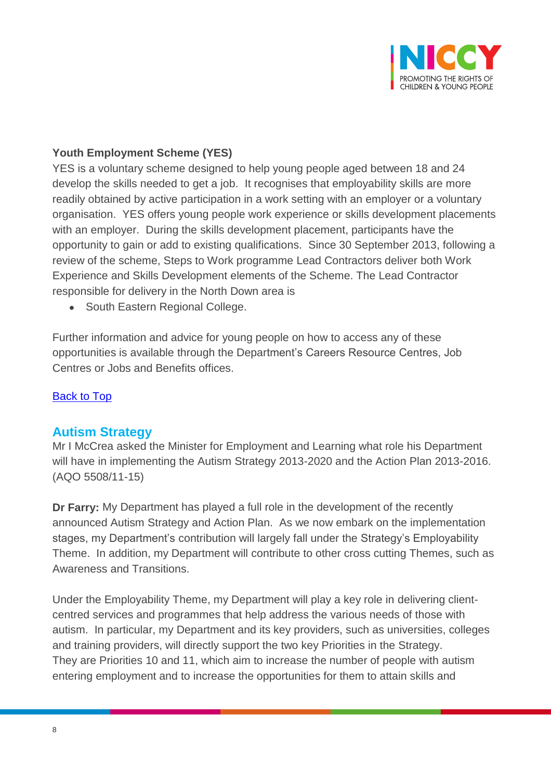

### **Youth Employment Scheme (YES)**

YES is a voluntary scheme designed to help young people aged between 18 and 24 develop the skills needed to get a job. It recognises that employability skills are more readily obtained by active participation in a work setting with an employer or a voluntary organisation. YES offers young people work experience or skills development placements with an employer. During the skills development placement, participants have the opportunity to gain or add to existing qualifications. Since 30 September 2013, following a review of the scheme, Steps to Work programme Lead Contractors deliver both Work Experience and Skills Development elements of the Scheme. The Lead Contractor responsible for delivery in the North Down area is

• South Eastern Regional College.

Further information and advice for young people on how to access any of these opportunities is available through the Department's Careers Resource Centres, Job Centres or Jobs and Benefits offices.

#### [Back to Top](#page-0-0)

#### <span id="page-7-0"></span>**Autism Strategy**

Mr I McCrea asked the Minister for Employment and Learning what role his Department will have in implementing the Autism Strategy 2013-2020 and the Action Plan 2013-2016. (AQO 5508/11-15)

**Dr Farry:** My Department has played a full role in the development of the recently announced Autism Strategy and Action Plan. As we now embark on the implementation stages, my Department's contribution will largely fall under the Strategy's Employability Theme. In addition, my Department will contribute to other cross cutting Themes, such as Awareness and Transitions.

Under the Employability Theme, my Department will play a key role in delivering clientcentred services and programmes that help address the various needs of those with autism. In particular, my Department and its key providers, such as universities, colleges and training providers, will directly support the two key Priorities in the Strategy. They are Priorities 10 and 11, which aim to increase the number of people with autism entering employment and to increase the opportunities for them to attain skills and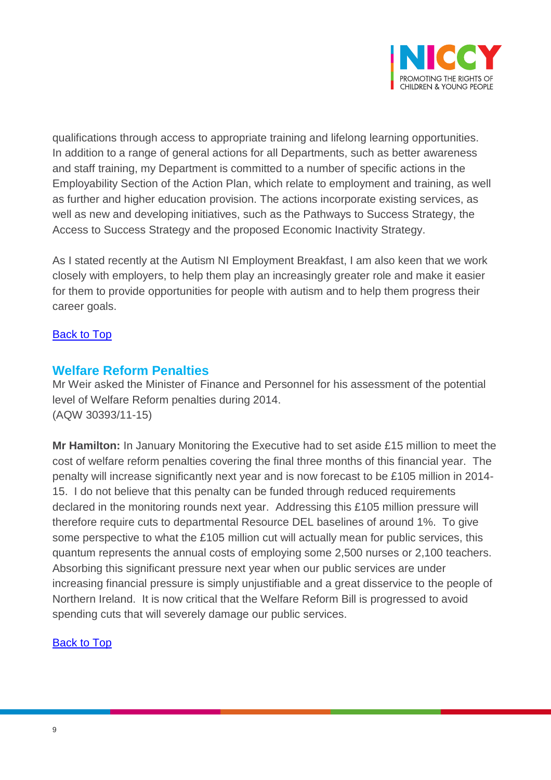

qualifications through access to appropriate training and lifelong learning opportunities. In addition to a range of general actions for all Departments, such as better awareness and staff training, my Department is committed to a number of specific actions in the Employability Section of the Action Plan, which relate to employment and training, as well as further and higher education provision. The actions incorporate existing services, as well as new and developing initiatives, such as the Pathways to Success Strategy, the Access to Success Strategy and the proposed Economic Inactivity Strategy.

As I stated recently at the Autism NI Employment Breakfast, I am also keen that we work closely with employers, to help them play an increasingly greater role and make it easier for them to provide opportunities for people with autism and to help them progress their career goals.

#### [Back to Top](#page-0-0)

### <span id="page-8-0"></span>**Welfare Reform Penalties**

Mr Weir asked the Minister of Finance and Personnel for his assessment of the potential level of Welfare Reform penalties during 2014. (AQW 30393/11-15)

**Mr Hamilton:** In January Monitoring the Executive had to set aside £15 million to meet the cost of welfare reform penalties covering the final three months of this financial year. The penalty will increase significantly next year and is now forecast to be £105 million in 2014- 15. I do not believe that this penalty can be funded through reduced requirements declared in the monitoring rounds next year. Addressing this £105 million pressure will therefore require cuts to departmental Resource DEL baselines of around 1%. To give some perspective to what the £105 million cut will actually mean for public services, this quantum represents the annual costs of employing some 2,500 nurses or 2,100 teachers. Absorbing this significant pressure next year when our public services are under increasing financial pressure is simply unjustifiable and a great disservice to the people of Northern Ireland. It is now critical that the Welfare Reform Bill is progressed to avoid spending cuts that will severely damage our public services.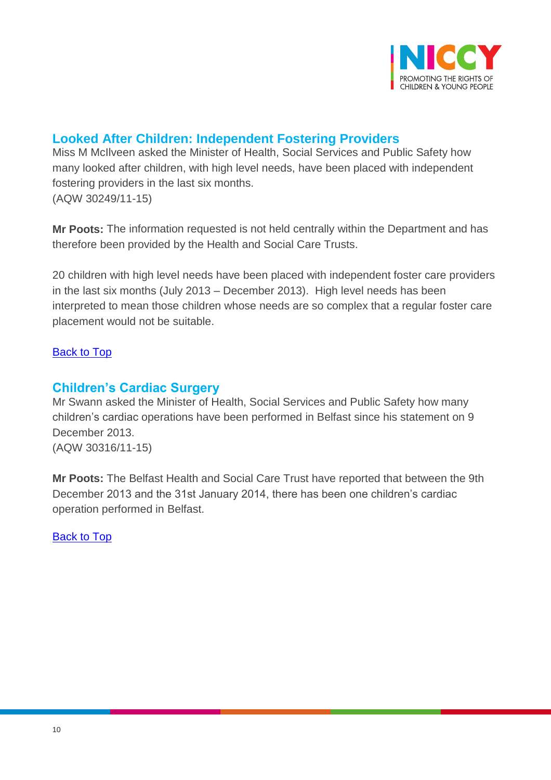

# <span id="page-9-0"></span>**Looked After Children: Independent Fostering Providers**

Miss M McIlveen asked the Minister of Health, Social Services and Public Safety how many looked after children, with high level needs, have been placed with independent fostering providers in the last six months. (AQW 30249/11-15)

**Mr Poots:** The information requested is not held centrally within the Department and has therefore been provided by the Health and Social Care Trusts.

20 children with high level needs have been placed with independent foster care providers in the last six months (July 2013 – December 2013). High level needs has been interpreted to mean those children whose needs are so complex that a regular foster care placement would not be suitable.

### [Back to Top](#page-0-0)

### <span id="page-9-1"></span>**Children's Cardiac Surgery**

Mr Swann asked the Minister of Health, Social Services and Public Safety how many children's cardiac operations have been performed in Belfast since his statement on 9 December 2013. (AQW 30316/11-15)

**Mr Poots:** The Belfast Health and Social Care Trust have reported that between the 9th December 2013 and the 31st January 2014, there has been one children's cardiac operation performed in Belfast.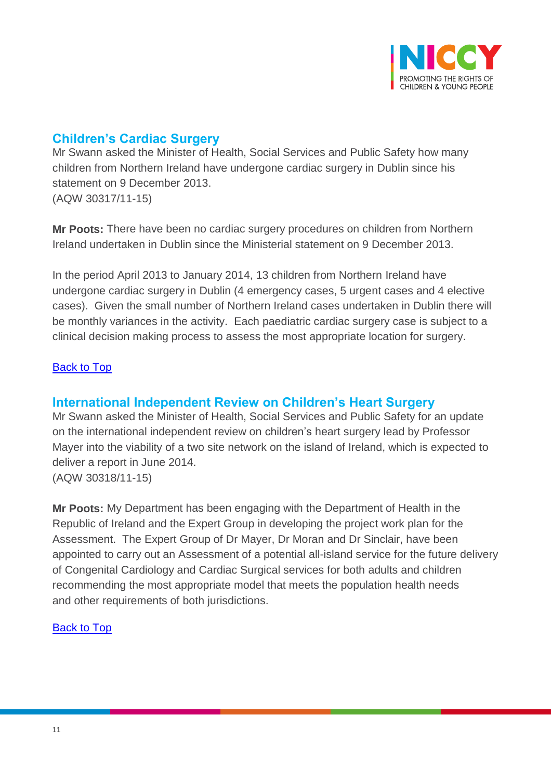

# <span id="page-10-0"></span>**Children's Cardiac Surgery**

Mr Swann asked the Minister of Health, Social Services and Public Safety how many children from Northern Ireland have undergone cardiac surgery in Dublin since his statement on 9 December 2013. (AQW 30317/11-15)

**Mr Poots:** There have been no cardiac surgery procedures on children from Northern Ireland undertaken in Dublin since the Ministerial statement on 9 December 2013.

In the period April 2013 to January 2014, 13 children from Northern Ireland have undergone cardiac surgery in Dublin (4 emergency cases, 5 urgent cases and 4 elective cases). Given the small number of Northern Ireland cases undertaken in Dublin there will be monthly variances in the activity. Each paediatric cardiac surgery case is subject to a clinical decision making process to assess the most appropriate location for surgery.

#### [Back to Top](#page-0-0)

### <span id="page-10-1"></span>**International Independent Review on Children's Heart Surgery**

Mr Swann asked the Minister of Health, Social Services and Public Safety for an update on the international independent review on children's heart surgery lead by Professor Mayer into the viability of a two site network on the island of Ireland, which is expected to deliver a report in June 2014. (AQW 30318/11-15)

**Mr Poots:** My Department has been engaging with the Department of Health in the Republic of Ireland and the Expert Group in developing the project work plan for the Assessment. The Expert Group of Dr Mayer, Dr Moran and Dr Sinclair, have been appointed to carry out an Assessment of a potential all-island service for the future delivery of Congenital Cardiology and Cardiac Surgical services for both adults and children recommending the most appropriate model that meets the population health needs and other requirements of both jurisdictions.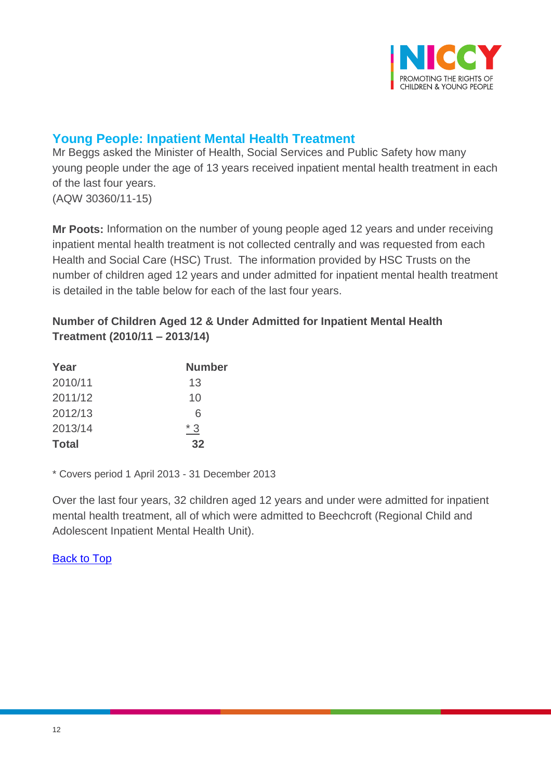

# <span id="page-11-0"></span>**Young People: Inpatient Mental Health Treatment**

Mr Beggs asked the Minister of Health, Social Services and Public Safety how many young people under the age of 13 years received inpatient mental health treatment in each of the last four years. (AQW 30360/11-15)

**Mr Poots:** Information on the number of young people aged 12 years and under receiving inpatient mental health treatment is not collected centrally and was requested from each Health and Social Care (HSC) Trust. The information provided by HSC Trusts on the number of children aged 12 years and under admitted for inpatient mental health treatment is detailed in the table below for each of the last four years.

### **Number of Children Aged 12 & Under Admitted for Inpatient Mental Health Treatment (2010/11 – 2013/14)**

| Year         | <b>Number</b> |  |  |
|--------------|---------------|--|--|
| 2010/11      | 13            |  |  |
| 2011/12      | 10            |  |  |
| 2012/13      | 6             |  |  |
| 2013/14      | $*3$          |  |  |
| <b>Total</b> | 32            |  |  |

\* Covers period 1 April 2013 - 31 December 2013

Over the last four years, 32 children aged 12 years and under were admitted for inpatient mental health treatment, all of which were admitted to Beechcroft (Regional Child and Adolescent Inpatient Mental Health Unit).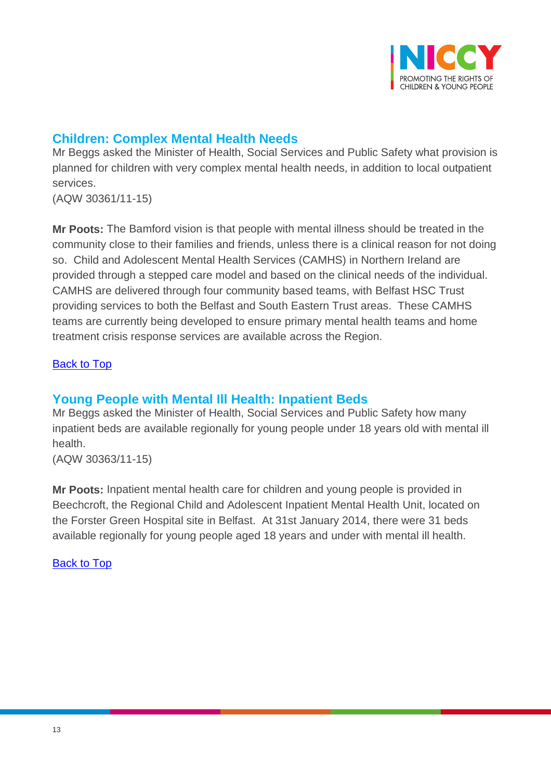

## <span id="page-12-0"></span>**Children: Complex Mental Health Needs**

Mr Beggs asked the Minister of Health, Social Services and Public Safety what provision is planned for children with very complex mental health needs, in addition to local outpatient services.

(AQW 30361/11-15)

**Mr Poots:** The Bamford vision is that people with mental illness should be treated in the community close to their families and friends, unless there is a clinical reason for not doing so. Child and Adolescent Mental Health Services (CAMHS) in Northern Ireland are provided through a stepped care model and based on the clinical needs of the individual. CAMHS are delivered through four community based teams, with Belfast HSC Trust providing services to both the Belfast and South Eastern Trust areas. These CAMHS teams are currently being developed to ensure primary mental health teams and home treatment crisis response services are available across the Region.

#### [Back to Top](#page-0-0)

## <span id="page-12-1"></span>**Young People with Mental Ill Health: Inpatient Beds**

Mr Beggs asked the Minister of Health, Social Services and Public Safety how many inpatient beds are available regionally for young people under 18 years old with mental ill health.

(AQW 30363/11-15)

**Mr Poots:** Inpatient mental health care for children and young people is provided in Beechcroft, the Regional Child and Adolescent Inpatient Mental Health Unit, located on the Forster Green Hospital site in Belfast. At 31st January 2014, there were 31 beds available regionally for young people aged 18 years and under with mental ill health.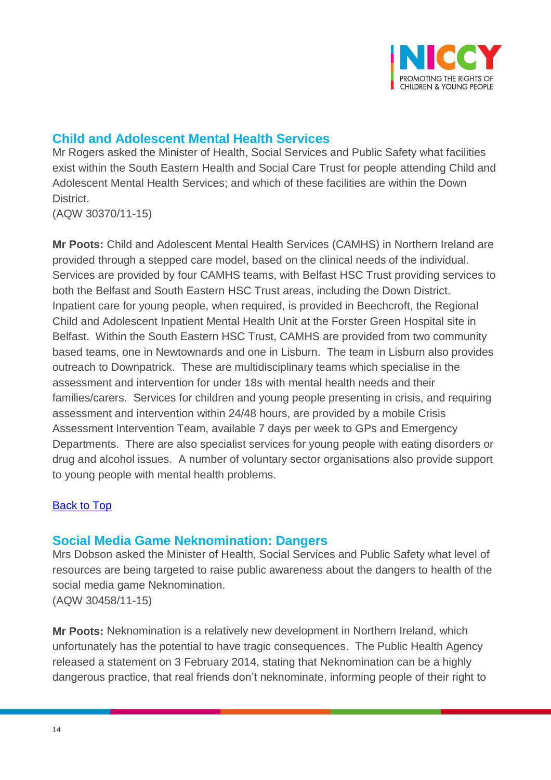

## <span id="page-13-0"></span>**Child and Adolescent Mental Health Services**

Mr Rogers asked the Minister of Health, Social Services and Public Safety what facilities exist within the South Eastern Health and Social Care Trust for people attending Child and Adolescent Mental Health Services; and which of these facilities are within the Down District.

(AQW 30370/11-15)

**Mr Poots:** Child and Adolescent Mental Health Services (CAMHS) in Northern Ireland are provided through a stepped care model, based on the clinical needs of the individual. Services are provided by four CAMHS teams, with Belfast HSC Trust providing services to both the Belfast and South Eastern HSC Trust areas, including the Down District. Inpatient care for young people, when required, is provided in Beechcroft, the Regional Child and Adolescent Inpatient Mental Health Unit at the Forster Green Hospital site in Belfast. Within the South Eastern HSC Trust, CAMHS are provided from two community based teams, one in Newtownards and one in Lisburn. The team in Lisburn also provides outreach to Downpatrick. These are multidisciplinary teams which specialise in the assessment and intervention for under 18s with mental health needs and their families/carers. Services for children and young people presenting in crisis, and requiring assessment and intervention within 24/48 hours, are provided by a mobile Crisis Assessment Intervention Team, available 7 days per week to GPs and Emergency Departments. There are also specialist services for young people with eating disorders or drug and alcohol issues. A number of voluntary sector organisations also provide support to young people with mental health problems.

#### [Back to Top](#page-0-0)

### <span id="page-13-1"></span>**Social Media Game Neknomination: Dangers**

Mrs Dobson asked the Minister of Health, Social Services and Public Safety what level of resources are being targeted to raise public awareness about the dangers to health of the social media game Neknomination. (AQW 30458/11-15)

**Mr Poots:** Neknomination is a relatively new development in Northern Ireland, which unfortunately has the potential to have tragic consequences. The Public Health Agency released a statement on 3 February 2014, stating that Neknomination can be a highly dangerous practice, that real friends don't neknominate, informing people of their right to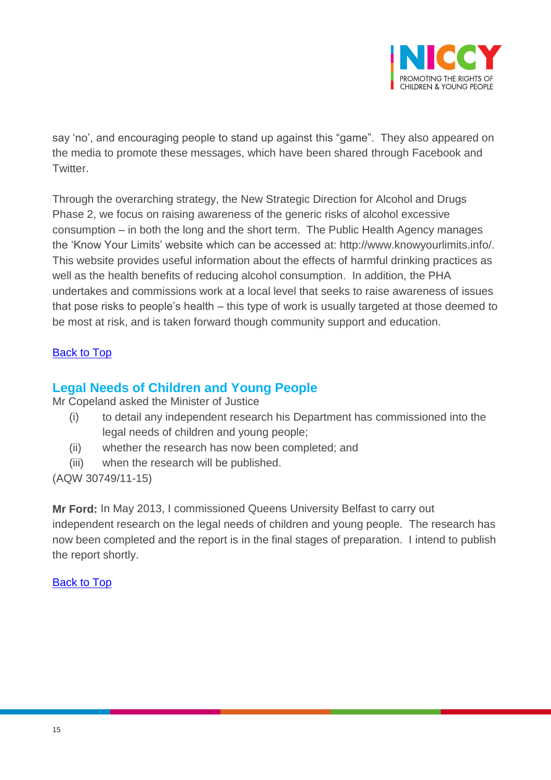

say 'no', and encouraging people to stand up against this "game". They also appeared on the media to promote these messages, which have been shared through Facebook and Twitter.

Through the overarching strategy, the New Strategic Direction for Alcohol and Drugs Phase 2, we focus on raising awareness of the generic risks of alcohol excessive consumption – in both the long and the short term. The Public Health Agency manages the 'Know Your Limits' website which can be accessed at: http://www.knowyourlimits.info/. This website provides useful information about the effects of harmful drinking practices as well as the health benefits of reducing alcohol consumption. In addition, the PHA undertakes and commissions work at a local level that seeks to raise awareness of issues that pose risks to people's health – this type of work is usually targeted at those deemed to be most at risk, and is taken forward though community support and education.

#### [Back to Top](#page-0-0)

### <span id="page-14-0"></span>**Legal Needs of Children and Young People**

Mr Copeland asked the Minister of Justice

- (i) to detail any independent research his Department has commissioned into the legal needs of children and young people;
- (ii) whether the research has now been completed; and
- (iii) when the research will be published.

(AQW 30749/11-15)

**Mr Ford:** In May 2013, I commissioned Queens University Belfast to carry out independent research on the legal needs of children and young people. The research has now been completed and the report is in the final stages of preparation. I intend to publish the report shortly.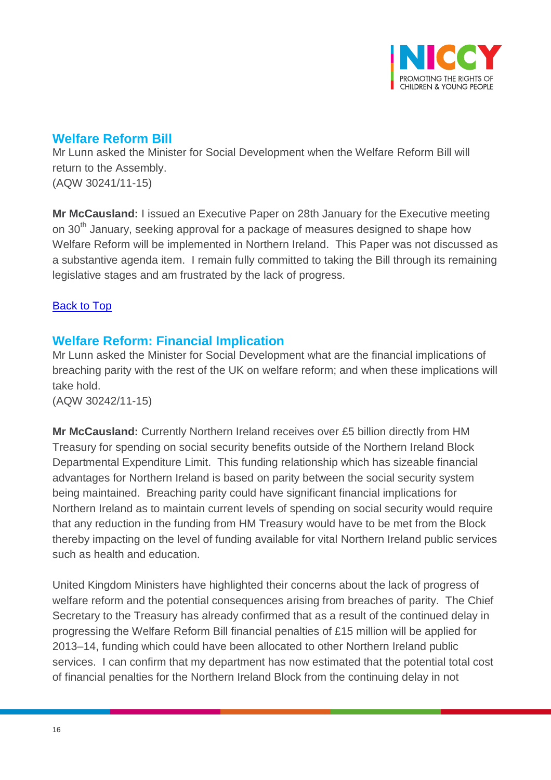

## <span id="page-15-0"></span>**Welfare Reform Bill**

Mr Lunn asked the Minister for Social Development when the Welfare Reform Bill will return to the Assembly. (AQW 30241/11-15)

**Mr McCausland:** I issued an Executive Paper on 28th January for the Executive meeting on 30<sup>th</sup> January, seeking approval for a package of measures designed to shape how Welfare Reform will be implemented in Northern Ireland. This Paper was not discussed as a substantive agenda item. I remain fully committed to taking the Bill through its remaining legislative stages and am frustrated by the lack of progress.

### [Back to Top](#page-0-0)

## <span id="page-15-1"></span>**Welfare Reform: Financial Implication**

Mr Lunn asked the Minister for Social Development what are the financial implications of breaching parity with the rest of the UK on welfare reform; and when these implications will take hold.

(AQW 30242/11-15)

**Mr McCausland:** Currently Northern Ireland receives over £5 billion directly from HM Treasury for spending on social security benefits outside of the Northern Ireland Block Departmental Expenditure Limit. This funding relationship which has sizeable financial advantages for Northern Ireland is based on parity between the social security system being maintained. Breaching parity could have significant financial implications for Northern Ireland as to maintain current levels of spending on social security would require that any reduction in the funding from HM Treasury would have to be met from the Block thereby impacting on the level of funding available for vital Northern Ireland public services such as health and education.

United Kingdom Ministers have highlighted their concerns about the lack of progress of welfare reform and the potential consequences arising from breaches of parity. The Chief Secretary to the Treasury has already confirmed that as a result of the continued delay in progressing the Welfare Reform Bill financial penalties of £15 million will be applied for 2013–14, funding which could have been allocated to other Northern Ireland public services. I can confirm that my department has now estimated that the potential total cost of financial penalties for the Northern Ireland Block from the continuing delay in not